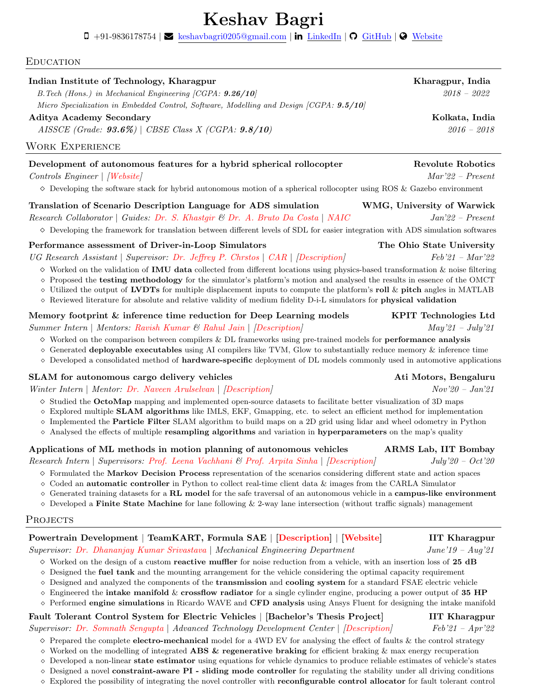# Keshav Bagri

 $\Box$  +91-9836178754 |  $\blacktriangleright$  [keshavbagri0205@gmail.com](mailto:keshavbagri0205@gmail.com) | in [LinkedIn](https://www.linkedin.com/in/keshav0205/) |  $\Omega$  [GitHub](https://github.com/Keshav0205) |  $\blacktriangleright$  [Website](https://keshavbagri.live)

#### **EDUCATION**

#### Indian Institute of Technology, Kharagpur Kharagpur, Indian Kharagpur, Indian Kharagpur, Indian Kharagpur, Indian Kharagpur, Indian Kharagpur, Indian Kharagpur, Indian Kharagpur, Indian Kharagpur, Indian Kharagpur, Indian

 $B.$  Tech (Hons.) in Mechanical Engineering [CGPA:  $9.26/10$ ] 2018 – 2022 Micro Specialization in Embedded Control, Software, Modelling and Design [CGPA: **9.5/10**]

#### Aditya Academy Secondary Kolkata, India

 $AISSEE (Grade: 93.6%) | CBSE Class X (CGPA: 9.8/10)$  2016 – 2018

#### Work Experience

#### Development of autonomous features for a hybrid spherical rollocopter Revolute Robotics

#### Controls Engineer | [\[Website\]](https://www.revoluterobotics.com/) Mar'22 – Present

 $\diamond$  Developing the software stack for hybrid autonomous motion of a spherical rollocopter using ROS & Gazebo environment

#### Translation of Scenario Description Language for ADS simulation WMG, University of Warwick

Research Collaborator | Guides: [Dr. S. Khastgir](https://warwick.ac.uk/fac/sci/wmg/research/cav/vandv/people/siddkhastgir/##overview) & [Dr. A. Bruto Da Costa](https://www.linkedin.com/in/antonio-anastasio-bruto-da-costa-60519440/) | [NAIC](https://warwick.ac.uk/fac/sci/wmg/research/cav/vandv/) Jan'22 – Present  $\diamond$  Developing the framework for translation between different levels of SDL for easier integration with ADS simulation softwares

### Performance assessment of Driver-in-Loop Simulators The Ohio State University

UG Research Assistant | Supervisor: [Dr. Jeffrey P. Chrstos](https://car.osu.edu/people/chrstos.1) | [CAR](https://car.osu.edu/) | [\[Description\]](https://drive.google.com/file/d/1ZUezXcsWptQFtjxU5qarBs6OopHgySVg/view?usp=sharing) Feb'21 – Mar'22

- $\diamond$  Worked on the validation of **IMU data** collected from different locations using physics-based transformation  $\&$  noise filtering
- ⋄ Proposed the testing methodology for the simulator's platform's motion and analysed the results in essence of the OMCT
- $\diamond$  Utilized the output of LVDTs for multiple displacement inputs to compute the platform's roll  $\&$  pitch angles in MATLAB
- ⋄ Reviewed literature for absolute and relative validity of medium fidelity D-i-L simulators for physical validation

#### Memory footprint & inference time reduction for Deep Learning models KPIT Technologies Ltd Summer Intern | Mentors: [Ravish Kumar](https://www.linkedin.com/in/ravishkumar2/) & [Rahul Jain](https://www.linkedin.com/in/rahul-j/) | [\[Description\]](https://drive.google.com/file/d/1OQdfwLUN6wgLYFZmOHwvP9CR6Ta9lFh6/view?usp=sharing) May'21 – July'21

- $\diamond$  Worked on the comparison between compilers & DL frameworks using pre-trained models for **performance analysis**
- ⋄ Generated deployable executables using AI compilers like TVM, Glow to substantially reduce memory & inference time
- ⋄ Developed a consolidated method of hardware-specific deployment of DL models commonly used in automotive applications

### SLAM for autonomous cargo delivery vehicles Ati Motors, Bengaluru Ati Motors, Bengaluru

Winter Intern | Mentor: [Dr. Naveen Arulselvan](https://www.linkedin.com/in/naveen-arulselvan-11801b5/) | [\[Description\]](https://drive.google.com/file/d/1RHKQuxg6FwaUuuWl5U9ycbiHdzsfXDUq/view?usp=sharing) Nov'20 – Jan'21

- ⋄ Studied the OctoMap mapping and implemented open-source datasets to facilitate better visualization of 3D maps
- $\Diamond$  Explored multiple **SLAM algorithms** like IMLS, EKF, Gmapping, etc. to select an efficient method for implementation
- ⋄ Implemented the Particle Filter SLAM algorithm to build maps on a 2D grid using lidar and wheel odometry in Python
- ⋄ Analysed the effects of multiple resampling algorithms and variation in hyperparameters on the map's quality

### Applications of ML methods in motion planning of autonomous vehicles ARMS Lab, IIT Bombay

## Research Intern | Supervisors: [Prof. Leena Vachhani](https://www.sc.iitb.ac.in/~leena/) & [Prof. Arpita Sinha](https://www.sc.iitb.ac.in/~asinha/) | [\[Description\]](https://drive.google.com/file/d/1AXZ7CDZalNDmRIpQCybxI8tFaHPDLb2R/view?usp=sharing) July'20 – Oct'20

- $\diamond$  Formulated the Markov Decision Process representation of the scenarios considering different state and action spaces
- ⋄ Coded an automatic controller in Python to collect real-time client data & images from the CARLA Simulator
- $\Diamond$  Generated training datasets for a RL model for the safe traversal of an autonomous vehicle in a campus-like environment
- $\diamond$  Developed a Finite State Machine for lane following & 2-way lane intersection (without traffic signals) management

#### Projects

#### Powertrain Development | TeamKART, Formula SAE | [\[Description\]](https://drive.google.com/file/d/1LVept1d7H9TUDsUXZmBvxH1n_fET8yGm/view?usp=sharing) | [\[Website\]](https://teamkart.org/) IIT Kharagpur Supervisor: [Dr. Dhananjay Kumar Srivastava](https://iitkgp.irins.org/profile/158290) | Mechanical Engineering Department June'19 – Aug'21

 $\diamond$  Worked on the design of a custom **reactive muffler** for noise reduction from a vehicle, with an insertion loss of 25 dB

- ⋄ Designed the fuel tank and the mounting arrangement for the vehicle considering the optimal capacity requirement  $\Diamond$  Designed and analyzed the components of the **transmission** and **cooling system** for a standard FSAE electric vehicle
- $\diamond$  Engineered the intake manifold & crossflow radiator for a single cylinder engine, producing a power output of 35 HP
- $\diamond$  Performed engine simulations in Ricardo WAVE and CFD analysis using Ansys Fluent for designing the intake manifold

# Fault Tolerant Control System for Electric Vehicles | [Bachelor's Thesis Project] IIT Kharagpur

Supervisor: [Dr. Somnath Sengupta](https://iitkgp.irins.org/profile/158376) | Advanced Technology Development Center | [\[Description\]](https://drive.google.com/file/d/1TVzt1CdyBz4IR3Qu4q1sLYyDgDAWn-wR/view?usp=sharing) Feb'21 – Apr'22

- $\diamond$  Prepared the complete electro-mechanical model for a 4WD EV for analysing the effect of faults & the control strategy
- $\Diamond$  Worked on the modelling of integrated ABS & regenerative braking for efficient braking & max energy recuperation
- ⋄ Developed a non-linear state estimator using equations for vehicle dynamics to produce reliable estimates of vehicle's states
- $\Diamond$  Designed a novel constraint-aware PI sliding mode controller for regulating the stability under all driving conditions ⋄ Explored the possibility of integrating the novel controller with reconfigurable control allocator for fault tolerant control